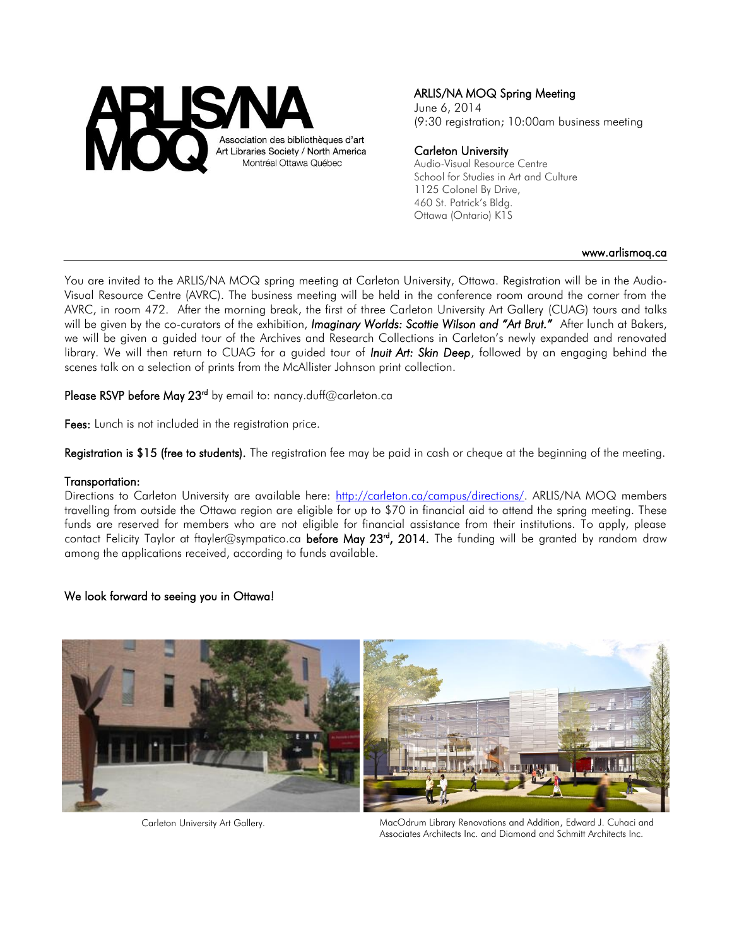

# ARLIS/NA MOQ Spring Meeting

June 6, 2014 (9:30 registration; 10:00am business meeting

### Carleton University

Audio-Visual Resource Centre School for Studies in Art and Culture 1125 Colonel By Drive, 460 St. Patrick's Bldg. Ottawa (Ontario) K1S

#### www.arlismoq.ca

You are invited to the ARLIS/NA MOQ spring meeting at Carleton University, Ottawa. Registration will be in the Audio-Visual Resource Centre (AVRC). The business meeting will be held in the conference room around the corner from the AVRC, in room 472. After the morning break, the first of three Carleton University Art Gallery (CUAG) tours and talks will be given by the co-curators of the exhibition, *Imaginary Worlds: Scottie Wilson and "Art Brut."* After lunch at Bakers, we will be given a guided tour of the Archives and Research Collections in Carleton's newly expanded and renovated library. We will then return to CUAG for a guided tour of *Inuit Art: Skin Deep*, followed by an engaging behind the scenes talk on a selection of prints from the McAllister Johnson print collection.

Please RSVP before May 23<sup>rd</sup> by email to: nancy.duff@carleton.ca

Fees: Lunch is not included in the registration price.

Registration is \$15 (free to students). The registration fee may be paid in cash or cheque at the beginning of the meeting.

### Transportation:

Directions to Carleton University are available here: [http://carleton.ca/campus/directions/.](http://carleton.ca/campus/directions/) ARLIS/NA MOQ members travelling from outside the Ottawa region are eligible for up to \$70 in financial aid to attend the spring meeting. These funds are reserved for members who are not eligible for financial assistance from their institutions. To apply, please contact Felicity Taylor at ftayler@sympatico.ca before May 23<sup>rd</sup>, 2014. The funding will be granted by random draw among the applications received, according to funds available.

## We look forward to seeing you in Ottawa!



Carleton University Art Gallery.

MacOdrum Library Renovations and Addition, Edward J. Cuhaci and Associates Architects Inc. and Diamond and Schmitt Architects Inc.